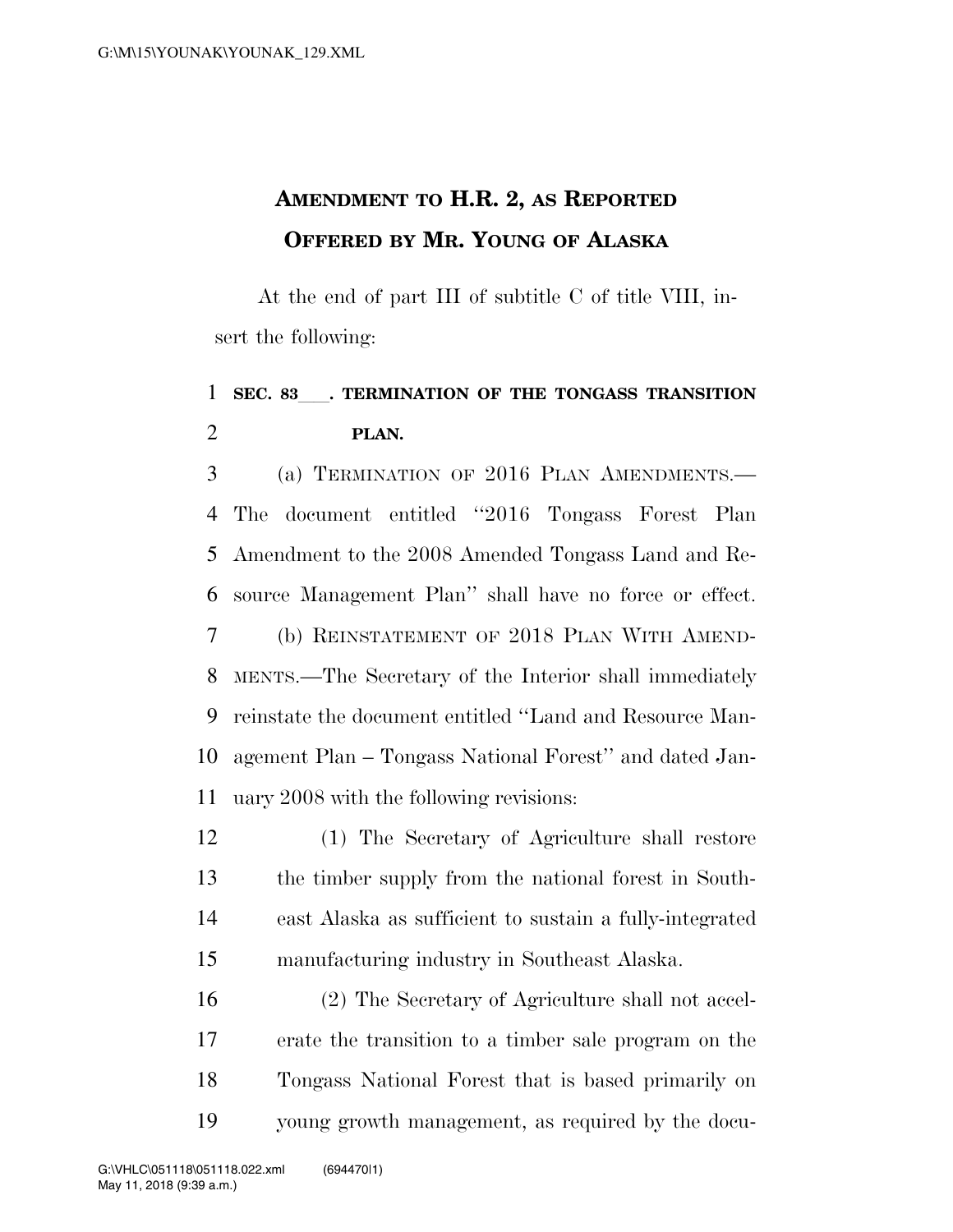## **AMENDMENT TO H.R. 2, AS REPORTED OFFERED BY MR. YOUNG OF ALASKA**

At the end of part III of subtitle C of title VIII, insert the following:

## **SEC. 83**ll**. TERMINATION OF THE TONGASS TRANSITION PLAN.**

 (a) TERMINATION OF 2016 PLAN AMENDMENTS.— The document entitled ''2016 Tongass Forest Plan Amendment to the 2008 Amended Tongass Land and Re- source Management Plan'' shall have no force or effect. (b) REINSTATEMENT OF 2018 PLAN WITH AMEND- MENTS.—The Secretary of the Interior shall immediately reinstate the document entitled ''Land and Resource Man- agement Plan – Tongass National Forest'' and dated Jan-uary 2008 with the following revisions:

 (1) The Secretary of Agriculture shall restore the timber supply from the national forest in South- east Alaska as sufficient to sustain a fully-integrated manufacturing industry in Southeast Alaska.

 (2) The Secretary of Agriculture shall not accel- erate the transition to a timber sale program on the Tongass National Forest that is based primarily on young growth management, as required by the docu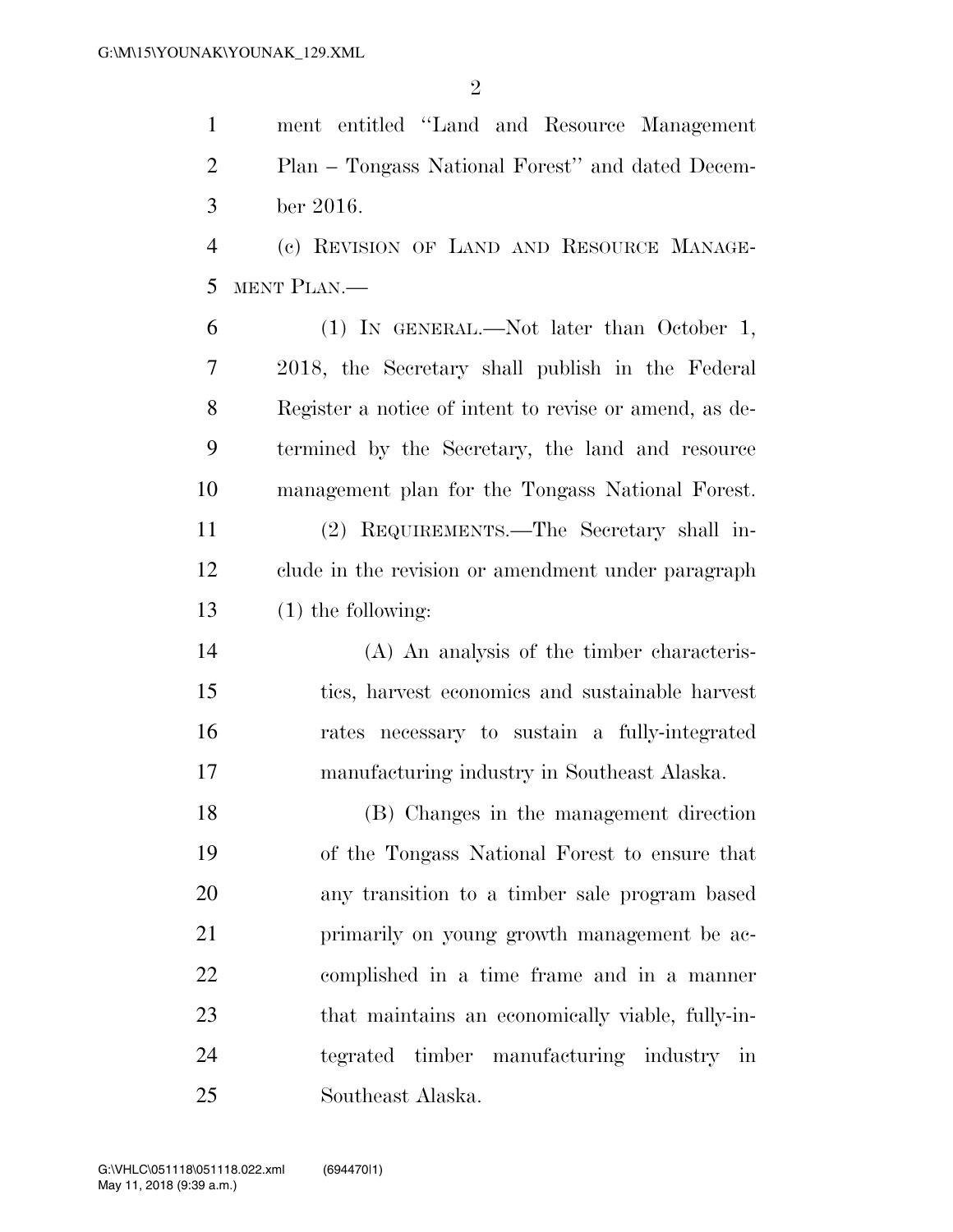ment entitled ''Land and Resource Management Plan – Tongass National Forest'' and dated Decem-ber 2016.

 (c) REVISION OF LAND AND RESOURCE MANAGE-MENT PLAN.—

 (1) IN GENERAL.—Not later than October 1, 2018, the Secretary shall publish in the Federal Register a notice of intent to revise or amend, as de- termined by the Secretary, the land and resource management plan for the Tongass National Forest.

 (2) REQUIREMENTS.—The Secretary shall in- clude in the revision or amendment under paragraph (1) the following:

 (A) An analysis of the timber characteris- tics, harvest economics and sustainable harvest rates necessary to sustain a fully-integrated manufacturing industry in Southeast Alaska.

 (B) Changes in the management direction of the Tongass National Forest to ensure that any transition to a timber sale program based primarily on young growth management be ac- complished in a time frame and in a manner that maintains an economically viable, fully-in- tegrated timber manufacturing industry in Southeast Alaska.